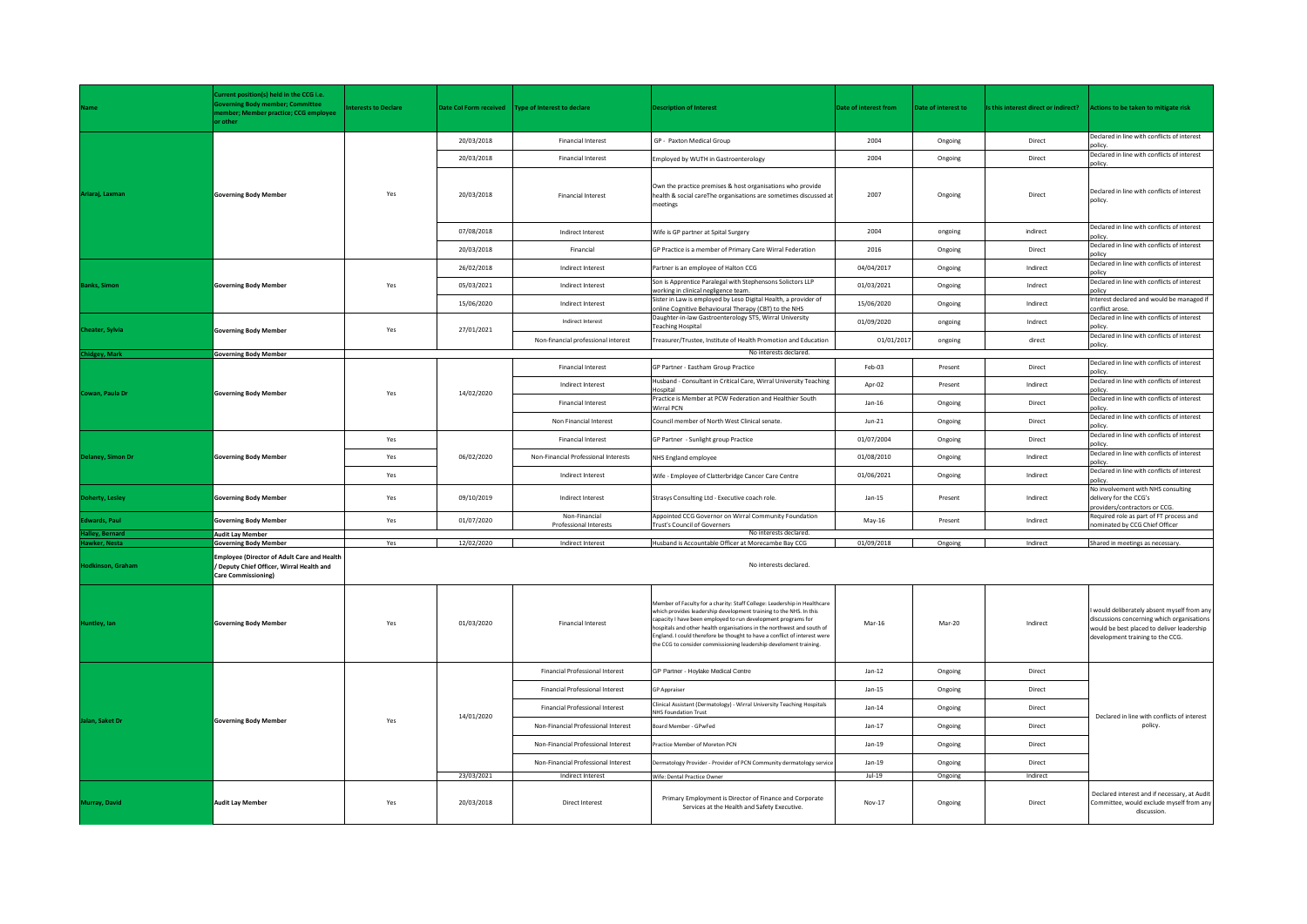|                          | Current position(s) held in the CCG i.e.<br><b>verning Body member; Committee</b><br>ember; Member practice; CCG employee<br>or other | terests to Declare | <b>Date Col Form received</b> | Type of Interest to declare                    | <b>Description of Interest</b>                                                                                                                                                                                                                                                                                                                                                                                                              | Date of interest from | Date of interest to | Is this interest direct or indirect? | Actions to be taken to mitigate risk                                                                                                                                      |
|--------------------------|---------------------------------------------------------------------------------------------------------------------------------------|--------------------|-------------------------------|------------------------------------------------|---------------------------------------------------------------------------------------------------------------------------------------------------------------------------------------------------------------------------------------------------------------------------------------------------------------------------------------------------------------------------------------------------------------------------------------------|-----------------------|---------------------|--------------------------------------|---------------------------------------------------------------------------------------------------------------------------------------------------------------------------|
|                          |                                                                                                                                       |                    | 20/03/2018                    | <b>Financial Interest</b>                      | GP - Paxton Medical Group                                                                                                                                                                                                                                                                                                                                                                                                                   | 2004                  | Ongoing             | Direct                               | Declared in line with conflicts of interest<br>policy.                                                                                                                    |
|                          |                                                                                                                                       |                    | 20/03/2018                    | <b>Financial Interest</b>                      | Employed by WUTH in Gastroenterology                                                                                                                                                                                                                                                                                                                                                                                                        | 2004                  | Ongoing             | Direct                               | Declared in line with conflicts of interest<br>policy.                                                                                                                    |
| Ariaraj, Laxman          | <b>Governing Body Member</b>                                                                                                          | Yes                | 20/03/2018                    | <b>Financial Interest</b>                      | Own the practice premises & host organisations who provide<br>health & social careThe organisations are sometimes discussed at<br>meetings                                                                                                                                                                                                                                                                                                  | 2007                  | Ongoing             | Direct                               | Declared in line with conflicts of interest<br>policy.                                                                                                                    |
|                          |                                                                                                                                       |                    | 07/08/2018                    | Indirect Interest                              | Wife is GP partner at Spital Surgery                                                                                                                                                                                                                                                                                                                                                                                                        | 2004                  | ongoing             | indirect                             | Declared in line with conflicts of interest<br>policy                                                                                                                     |
|                          |                                                                                                                                       |                    | 20/03/2018                    | Financial                                      | GP Practice is a member of Primary Care Wirral Federation                                                                                                                                                                                                                                                                                                                                                                                   | 2016                  | Ongoing             | Direct                               | Declared in line with conflicts of interest<br>policy                                                                                                                     |
| anks, Simon              | <b>Governing Body Member</b>                                                                                                          | Yes                | 26/02/2018                    | Indirect Interest                              | Partner is an employee of Halton CCG                                                                                                                                                                                                                                                                                                                                                                                                        | 04/04/2017            | Ongoing             | Indirect                             | Declared in line with conflicts of interest<br>policy                                                                                                                     |
|                          |                                                                                                                                       |                    | 05/03/2021                    | Indirect Interest                              | Son is Apprentice Paralegal with Stephensons Solictors LLP<br>working in clinical negligence team.                                                                                                                                                                                                                                                                                                                                          | 01/03/2021            | Ongoing             | Indrect                              | Declared in line with conflicts of interest<br>policy                                                                                                                     |
|                          |                                                                                                                                       |                    | 15/06/2020                    | Indirect Interest                              | Sister in Law is employed by Leso Digital Health, a provider of<br>online Cognitive Behavioural Therapy (CBT) to the NHS                                                                                                                                                                                                                                                                                                                    | 15/06/2020            | Ongoing             | Indirect                             | Interest declared and would be managed if<br>conflict arose                                                                                                               |
|                          |                                                                                                                                       |                    |                               | Indirect Interest                              | Daughter-in-law Gastroenterology ST5, Wirral University<br><b>Teaching Hospital</b>                                                                                                                                                                                                                                                                                                                                                         | 01/09/2020            | ongoing             | Indrect                              | Declared in line with conflicts of interest<br>policy.                                                                                                                    |
| <b>Cheater, Sylvia</b>   | <b>Governing Body Member</b>                                                                                                          | Yes                | 27/01/2021                    | Non-financial professional interest            | Treasurer/Trustee, Institute of Health Promotion and Education                                                                                                                                                                                                                                                                                                                                                                              | 01/01/2017            | ongoing             | direct                               | Declared in line with conflicts of interest<br>policy.                                                                                                                    |
| hidgey, Mark             | <b>Governing Body Member</b>                                                                                                          |                    |                               |                                                | No interests declared.                                                                                                                                                                                                                                                                                                                                                                                                                      |                       |                     |                                      |                                                                                                                                                                           |
|                          |                                                                                                                                       | Yes                | 14/02/2020                    | <b>Financial Interest</b>                      | GP Partner - Eastham Group Practice                                                                                                                                                                                                                                                                                                                                                                                                         | Feb-03                | Present             | Direct                               | Declared in line with conflicts of interest<br>policy.                                                                                                                    |
| Cowan, Paula Dr          | <b>Governing Body Member</b>                                                                                                          |                    |                               | Indirect Interest                              | Husband - Consultant in Critical Care, Wirral University Teaching<br>Hospital                                                                                                                                                                                                                                                                                                                                                               | Apr-02                | Present             | Indirect                             | Declared in line with conflicts of interest<br>policy.                                                                                                                    |
|                          |                                                                                                                                       |                    |                               | <b>Financial Interest</b>                      | Practice is Member at PCW Federation and Healthier South<br><b>Wirral PCN</b>                                                                                                                                                                                                                                                                                                                                                               | $Jan-16$              | Ongoing             | Direct                               | Declared in line with conflicts of interest<br>policy                                                                                                                     |
|                          |                                                                                                                                       |                    |                               | Non Financial Interest                         | Council member of North West Clinical senate.                                                                                                                                                                                                                                                                                                                                                                                               | $Jun-21$              | Ongoing             | Direct                               | Declared in line with conflicts of interest<br>policy                                                                                                                     |
| Delaney, Simon Dr        | <b>Governing Body Member</b>                                                                                                          | Yes                | 06/02/2020                    | <b>Financial Interest</b>                      | GP Partner - Sunlight group Practice                                                                                                                                                                                                                                                                                                                                                                                                        | 01/07/2004            | Ongoing             | Direct                               | Declared in line with conflicts of interest<br>policy.                                                                                                                    |
|                          |                                                                                                                                       | Yes                |                               | Non-Financial Professional Interests           | NHS England employee                                                                                                                                                                                                                                                                                                                                                                                                                        | 01/08/2010            | Ongoing             | Indirect                             | Declared in line with conflicts of interest<br>policy                                                                                                                     |
|                          |                                                                                                                                       | Yes                |                               | Indirect Interest                              | Wife - Employee of Clatterbridge Cancer Care Centre                                                                                                                                                                                                                                                                                                                                                                                         | 01/06/2021            | Ongoing             | Indirect                             | Declared in line with conflicts of interest<br>policy.                                                                                                                    |
| <b>Doherty, Lesley</b>   | <b>Governing Body Member</b>                                                                                                          | Yes                | 09/10/2019                    | Indirect Interest                              | Strasys Consulting Ltd - Executive coach role.                                                                                                                                                                                                                                                                                                                                                                                              | $Jan-15$              | Present             | Indirect                             | No involvement with NHS consulting<br>delivery for the CCG's<br>providers/contractors or CCG.                                                                             |
| <b>Edwards, Paul</b>     | <b>Governing Body Member</b>                                                                                                          | Yes                | 01/07/2020                    | Non-Financial<br><b>Professional Interests</b> | Appointed CCG Governor on Wirral Community Foundation<br>Trust's Council of Governers                                                                                                                                                                                                                                                                                                                                                       | May-16                | Present             | Indirect                             | Required role as part of FT process and<br>nominated by CCG Chief Officer                                                                                                 |
| <b>Halley, Bernard</b>   | <b>Audit Lay Member</b>                                                                                                               |                    |                               |                                                | No interests declared.                                                                                                                                                                                                                                                                                                                                                                                                                      |                       |                     |                                      |                                                                                                                                                                           |
| awker, Nesta             | <b>Governing Body Member</b>                                                                                                          | Yes                | 12/02/2020                    | Indirect Interest                              | Husband is Accountable Officer at Morecambe Bay CCG                                                                                                                                                                                                                                                                                                                                                                                         | 01/09/2018            | Ongoing             | Indirect                             | Shared in meetings as necessary.                                                                                                                                          |
| <b>Hodkinson, Graham</b> | <b>Employee (Director of Adult Care and Health</b><br>/ Deputy Chief Officer, Wirral Health and<br>Care Commissioning)                |                    |                               |                                                | No interests declared.                                                                                                                                                                                                                                                                                                                                                                                                                      |                       |                     |                                      |                                                                                                                                                                           |
| <b>Huntley</b> , lan     | <b>Governing Body Member</b>                                                                                                          | Yes                | 01/03/2020                    | <b>Financial Interest</b>                      | Member of Faculty for a charity: Staff College: Leadership in Healthcare<br>which provides leadership development training to the NHS. In this<br>capacity I have been employed to run development programs for<br>hospitals and other health organisations in the northwest and south of<br>England. I could therefore be thought to have a conflict of interest were<br>the CCG to consider commissioning leadership develoment training. | Mar-16                | Mar-20              | Indirect                             | would deliberately absent myself from any<br>discussions concerning which organisations<br>would be best placed to deliver leadership<br>development training to the CCG. |
| Jalan, Saket Dr          | <b>Governing Body Member</b>                                                                                                          |                    | 14/01/2020                    | <b>Financial Professional Interest</b>         | GP Partner - Hoylake Medical Centre                                                                                                                                                                                                                                                                                                                                                                                                         | $Jan-12$              | Ongoing             | Direct                               | Declared in line with conflicts of interest<br>policy.                                                                                                                    |
|                          |                                                                                                                                       |                    |                               | Financial Professional Interest                | <b>GP Appraiser</b>                                                                                                                                                                                                                                                                                                                                                                                                                         | $Jan-15$              | Ongoing             | Direct                               |                                                                                                                                                                           |
|                          |                                                                                                                                       |                    |                               | <b>Financial Professional Interest</b>         | Clinical Assistant (Dermatology) - Wirral University Teaching Hospitals<br><b>NHS Foundation Trust</b>                                                                                                                                                                                                                                                                                                                                      | $Jan-14$              | Ongoing             | Direct                               |                                                                                                                                                                           |
|                          |                                                                                                                                       |                    |                               | Non-Financial Professional Interest            | Board Member - GPwFed                                                                                                                                                                                                                                                                                                                                                                                                                       | $Jan-17$              | Ongoing             | Direct                               |                                                                                                                                                                           |
|                          |                                                                                                                                       |                    |                               | Non-Financial Professional Interest            | Practice Member of Moreton PCN                                                                                                                                                                                                                                                                                                                                                                                                              | $Jan-19$              | Ongoing             | Direct                               |                                                                                                                                                                           |
|                          |                                                                                                                                       |                    |                               | Non-Financial Professional Interest            | Dermatology Provider - Provider of PCN Community dermatology service                                                                                                                                                                                                                                                                                                                                                                        | $Jan-19$              | Ongoing             | Direct                               |                                                                                                                                                                           |
|                          |                                                                                                                                       |                    | 23/03/2021                    | Indirect Interest                              | Wife: Dental Practice Owner                                                                                                                                                                                                                                                                                                                                                                                                                 | $Jul-19$              | Ongoing             | Indirect                             |                                                                                                                                                                           |
| Murray, David            | <b>Audit Lay Member</b>                                                                                                               | Yes                | 20/03/2018                    | Direct Interest                                | Primary Employment is Director of Finance and Corporate<br>Services at the Health and Safety Executive.                                                                                                                                                                                                                                                                                                                                     | Nov-17                | Ongoing             | Direct                               | Declared interest and if necessary, at Audit<br>Committee, would exclude myself from any<br>discussion.                                                                   |